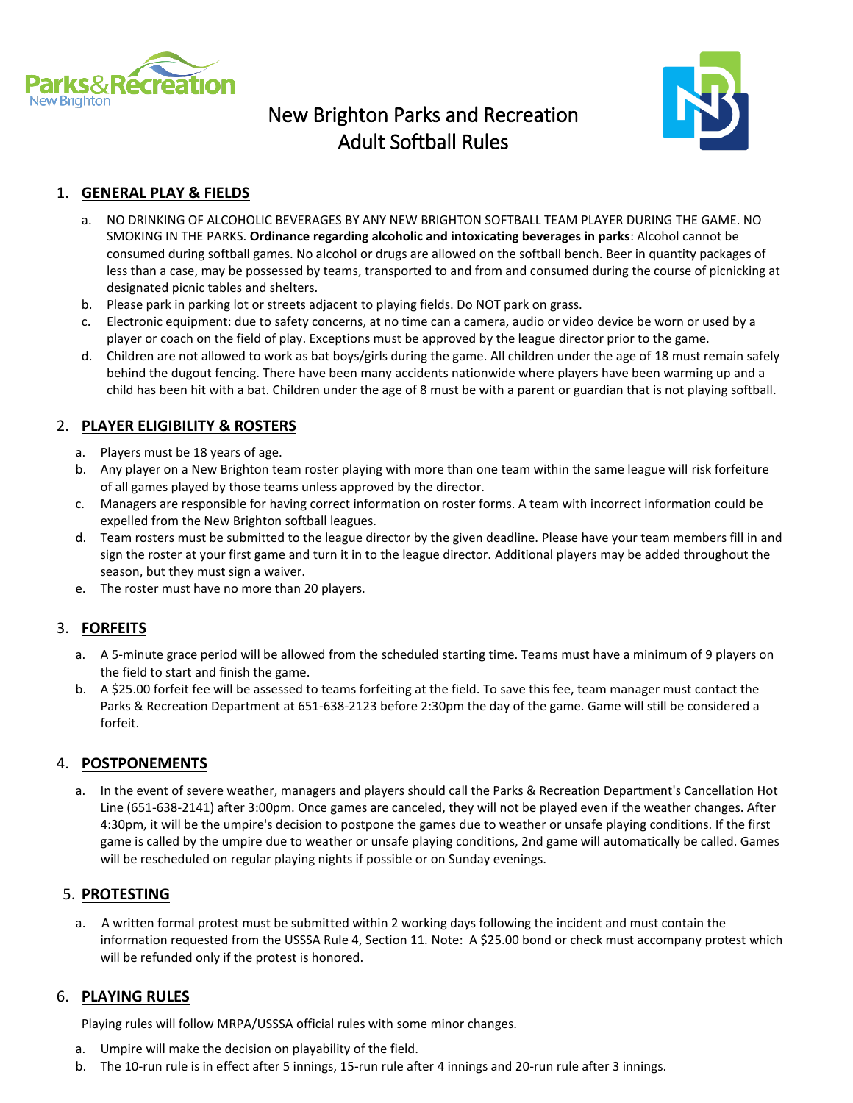

# New Brighton Parks and Recreation Adult Softball Rules



# 1. **GENERAL PLAY & FIELDS**

- a. NO DRINKING OF ALCOHOLIC BEVERAGES BY ANY NEW BRIGHTON SOFTBALL TEAM PLAYER DURING THE GAME. NO SMOKING IN THE PARKS. **Ordinance regarding alcoholic and intoxicating beverages in parks**: Alcohol cannot be consumed during softball games. No alcohol or drugs are allowed on the softball bench. Beer in quantity packages of less than a case, may be possessed by teams, transported to and from and consumed during the course of picnicking at designated picnic tables and shelters.
- b. Please park in parking lot or streets adjacent to playing fields. Do NOT park on grass.
- c. Electronic equipment: due to safety concerns, at no time can a camera, audio or video device be worn or used by a player or coach on the field of play. Exceptions must be approved by the league director prior to the game.
- d. Children are not allowed to work as bat boys/girls during the game. All children under the age of 18 must remain safely behind the dugout fencing. There have been many accidents nationwide where players have been warming up and a child has been hit with a bat. Children under the age of 8 must be with a parent or guardian that is not playing softball.

#### 2. **PLAYER ELIGIBILITY & ROSTERS**

- a. Players must be 18 years of age.
- b. Any player on a New Brighton team roster playing with more than one team within the same league will risk forfeiture of all games played by those teams unless approved by the director.
- c. Managers are responsible for having correct information on roster forms. A team with incorrect information could be expelled from the New Brighton softball leagues.
- d. Team rosters must be submitted to the league director by the given deadline. Please have your team members fill in and sign the roster at your first game and turn it in to the league director. Additional players may be added throughout the season, but they must sign a waiver.
- e. The roster must have no more than 20 players.

# 3. **FORFEITS**

- a. A 5-minute grace period will be allowed from the scheduled starting time. Teams must have a minimum of 9 players on the field to start and finish the game.
- b. A \$25.00 forfeit fee will be assessed to teams forfeiting at the field. To save this fee, team manager must contact the Parks & Recreation Department at 651-638-2123 before 2:30pm the day of the game. Game will still be considered a forfeit.

#### 4. **POSTPONEMENTS**

a. In the event of severe weather, managers and players should call the Parks & Recreation Department's Cancellation Hot Line (651-638-2141) after 3:00pm. Once games are canceled, they will not be played even if the weather changes. After 4:30pm, it will be the umpire's decision to postpone the games due to weather or unsafe playing conditions. If the first game is called by the umpire due to weather or unsafe playing conditions, 2nd game will automatically be called. Games will be rescheduled on regular playing nights if possible or on Sunday evenings.

#### 5. **PROTESTING**

 a. A written formal protest must be submitted within 2 working days following the incident and must contain the information requested from the USSSA Rule 4, Section 11. Note: A \$25.00 bond or check must accompany protest which will be refunded only if the protest is honored.

#### 6. **PLAYING RULES**

Playing rules will follow MRPA/USSSA official rules with some minor changes.

- a. Umpire will make the decision on playability of the field.
- b. The 10-run rule is in effect after 5 innings, 15-run rule after 4 innings and 20-run rule after 3 innings.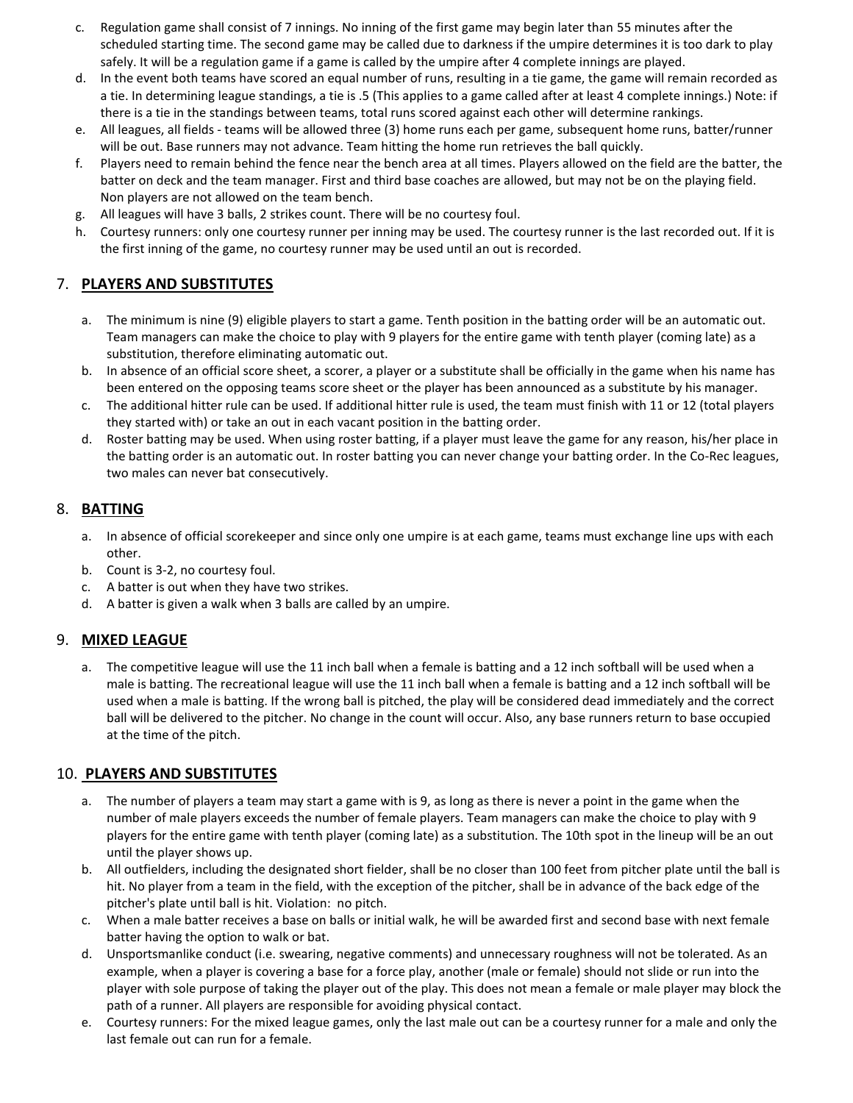- c. Regulation game shall consist of 7 innings. No inning of the first game may begin later than 55 minutes after the scheduled starting time. The second game may be called due to darkness if the umpire determines it is too dark to play safely. It will be a regulation game if a game is called by the umpire after 4 complete innings are played.
- d. In the event both teams have scored an equal number of runs, resulting in a tie game, the game will remain recorded as a tie. In determining league standings, a tie is .5 (This applies to a game called after at least 4 complete innings.) Note: if there is a tie in the standings between teams, total runs scored against each other will determine rankings.
- e. All leagues, all fields teams will be allowed three (3) home runs each per game, subsequent home runs, batter/runner will be out. Base runners may not advance. Team hitting the home run retrieves the ball quickly.
- f. Players need to remain behind the fence near the bench area at all times. Players allowed on the field are the batter, the batter on deck and the team manager. First and third base coaches are allowed, but may not be on the playing field. Non players are not allowed on the team bench.
- g. All leagues will have 3 balls, 2 strikes count. There will be no courtesy foul.
- h. Courtesy runners: only one courtesy runner per inning may be used. The courtesy runner is the last recorded out. If it is the first inning of the game, no courtesy runner may be used until an out is recorded.

# 7. **PLAYERS AND SUBSTITUTES**

- a. The minimum is nine (9) eligible players to start a game. Tenth position in the batting order will be an automatic out. Team managers can make the choice to play with 9 players for the entire game with tenth player (coming late) as a substitution, therefore eliminating automatic out.
- b. In absence of an official score sheet, a scorer, a player or a substitute shall be officially in the game when his name has been entered on the opposing teams score sheet or the player has been announced as a substitute by his manager.
- c. The additional hitter rule can be used. If additional hitter rule is used, the team must finish with 11 or 12 (total players they started with) or take an out in each vacant position in the batting order.
- d. Roster batting may be used. When using roster batting, if a player must leave the game for any reason, his/her place in the batting order is an automatic out. In roster batting you can never change your batting order. In the Co-Rec leagues, two males can never bat consecutively.

# 8. **BATTING**

- a. In absence of official scorekeeper and since only one umpire is at each game, teams must exchange line ups with each other.
- b. Count is 3-2, no courtesy foul.
- c. A batter is out when they have two strikes.
- d. A batter is given a walk when 3 balls are called by an umpire.

#### 9. **MIXED LEAGUE**

a. The competitive league will use the 11 inch ball when a female is batting and a 12 inch softball will be used when a male is batting. The recreational league will use the 11 inch ball when a female is batting and a 12 inch softball will be used when a male is batting. If the wrong ball is pitched, the play will be considered dead immediately and the correct ball will be delivered to the pitcher. No change in the count will occur. Also, any base runners return to base occupied at the time of the pitch.

#### 10. **PLAYERS AND SUBSTITUTES**

- a. The number of players a team may start a game with is 9, as long as there is never a point in the game when the number of male players exceeds the number of female players. Team managers can make the choice to play with 9 players for the entire game with tenth player (coming late) as a substitution. The 10th spot in the lineup will be an out until the player shows up.
- b. All outfielders, including the designated short fielder, shall be no closer than 100 feet from pitcher plate until the ball is hit. No player from a team in the field, with the exception of the pitcher, shall be in advance of the back edge of the pitcher's plate until ball is hit. Violation: no pitch.
- c. When a male batter receives a base on balls or initial walk, he will be awarded first and second base with next female batter having the option to walk or bat.
- d. Unsportsmanlike conduct (i.e. swearing, negative comments) and unnecessary roughness will not be tolerated. As an example, when a player is covering a base for a force play, another (male or female) should not slide or run into the player with sole purpose of taking the player out of the play. This does not mean a female or male player may block the path of a runner. All players are responsible for avoiding physical contact.
- e. Courtesy runners: For the mixed league games, only the last male out can be a courtesy runner for a male and only the last female out can run for a female.